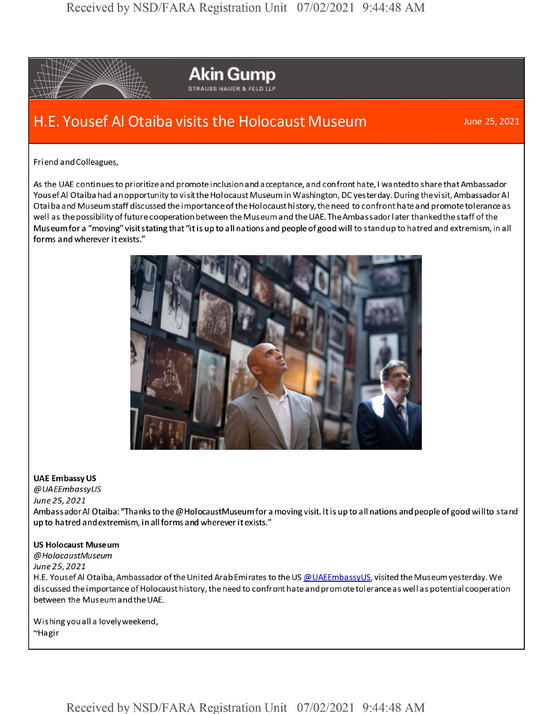

**Akin Gump** STRAUS5 HAUER & FELD LLP

## H.E. Yousef Al Otaiba visits the Holocaust Museum June 25, 2021

Friend andColleagues,

As the UAE continues to prioritize and promote inclusion and acceptance, and confront hate, I wanted to share that Ambassador Yousef Al Otaiba had an opportunity to visit the Holocaust Museum in Washington, DC yesterday. During the visit, Ambassador Al Otaiba and Museum staff discussed the importance of the Holocaust hi story, the need to confront hate and promote tolerance as well as the possibility of future cooperation between the Museum and the UAE. The Ambassador later thanked the staff of the Museum for <sup>a</sup> "moving" visit stating that "it is up to all nations and people ofgood will to stand up to hatred and extremism, in all forms <sup>a</sup> nd wherever it exists."



## **UAE Embassy US**

*@UAEEmbassyUS June 25,2021*

AmbassadorAI Otaiba: 'Thanks to the @HolocaustMuseumfor <sup>a</sup> moving visit. It is up to all nations and people ofgood willto stand up to hatred and extremism, in all forms and wherever it exists."

## **US Holocaust Museum**

*@HolocaustMuseum June25,2021*

H.E. Yousef Al Otaiba, Ambassador of the United Arab Emirates to the US @UAEEmbassyUS, visited the Museum yesterday. We discussed the importance of Holocaust history, the need to confront hate and prom ote tolerance as well as potential cooperation between the Museum and the UAE.

Wishingyouall <sup>a</sup> lovelyweekend, ~Hagir